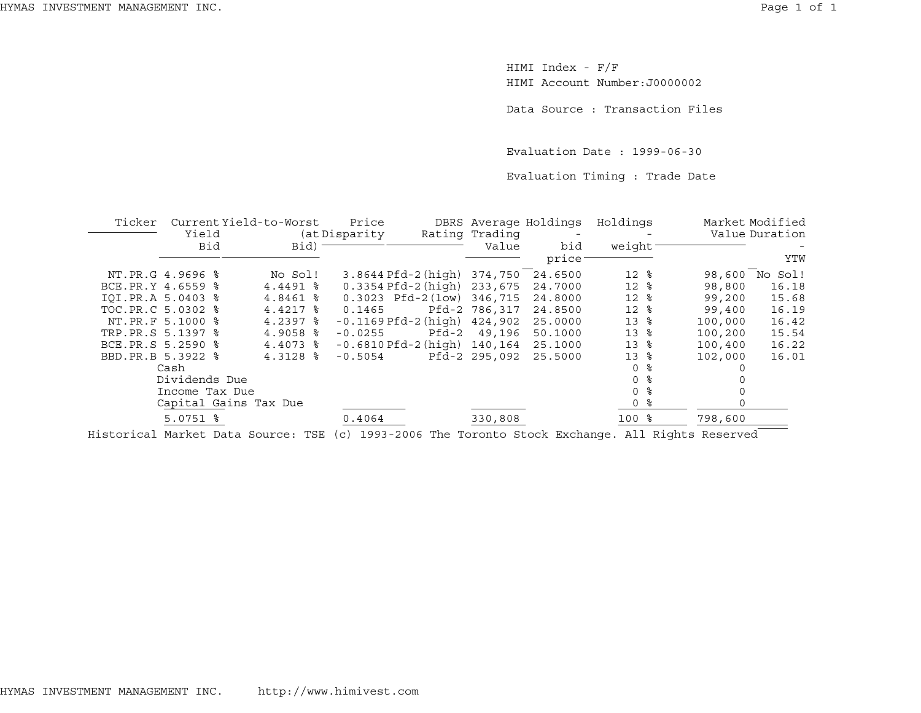HIMI Index - F/F HIMI Account Number:J0000002

Data Source : Transaction Files

Evaluation Date : 1999-06-30

Evaluation Timing : Trade Date

| Current Yield-to-Worst<br>Ticker |                        |                                                                                                  | Price         |                           |                | DBRS Average Holdings | Holdings        |    |                | Market Modified |
|----------------------------------|------------------------|--------------------------------------------------------------------------------------------------|---------------|---------------------------|----------------|-----------------------|-----------------|----|----------------|-----------------|
|                                  | Yield                  |                                                                                                  | (at Disparity |                           | Rating Trading |                       |                 |    | Value Duration |                 |
|                                  | Bid                    | Bid)                                                                                             |               |                           | Value          | bid                   | weight          |    |                |                 |
|                                  |                        |                                                                                                  |               |                           |                | price:                |                 |    |                | YTW             |
|                                  | NT.PR.G 4.9696 %       | No Sol!                                                                                          |               | $3.8644Pfd-2(hiqh)$       | 374,750        | 24.6500               | $12*$           |    |                | 98,600 No Sol!  |
| BCE.PR.Y 4.6559 %                |                        | 4.4491 %                                                                                         |               | $0.3354$ Pfd-2 (high)     | 233,675        | 24.7000               | $12*$           |    | 98,800         | 16.18           |
| IOI.PR.A 5.0403 %                |                        | 4.8461 %                                                                                         |               | $0.3023$ Pfd-2 $(low)$    | 346,715        | 24.8000               | $12*$           |    | 99,200         | 15.68           |
| TOC.PR.C 5.0302 %                |                        | 4.4217 %                                                                                         | 0.1465        |                           | Pfd-2 786,317  | 24.8500               | $12*$           |    | 99,400         | 16.19           |
|                                  | NT.PR.F 5.1000 %       | $4.2397$ $\approx$                                                                               |               | $-0.1169$ Pfd $-2$ (high) | 424,902        | 25.0000               | 13 <sup>8</sup> |    | 100,000        | 16.42           |
| TRP.PR.S 5.1397 %                |                        | $4.9058$ %                                                                                       | $-0.0255$     | Pfd-2                     | 49,196         | 50.1000               | 13 <sup>8</sup> |    | 100,200        | 15.54           |
| BCE.PR.S 5.2590 %                |                        | $4.4073$ $8$                                                                                     |               | $-0.6810$ Pfd $-2$ (high) | 140,164        | 25.1000               | 13 <sup>8</sup> |    | 100,400        | 16.22           |
| BBD.PR.B 5.3922 %                |                        | $4.3128$ $\frac{6}{5}$                                                                           | $-0.5054$     |                           | Pfd-2 295,092  | 25.5000               | 13              | ႜ  | 102,000        | 16.01           |
|                                  | Cash                   |                                                                                                  |               |                           |                |                       | 0               | ႜ  |                |                 |
|                                  | Dividends Due          |                                                                                                  |               |                           |                |                       |                 | ႜ  |                |                 |
|                                  | Income Tax Due         |                                                                                                  |               |                           |                |                       |                 | နွ |                |                 |
|                                  |                        | Capital Gains Tax Due                                                                            |               |                           |                |                       |                 | ႜ  |                |                 |
|                                  | $5.0751$ $\frac{6}{5}$ |                                                                                                  | 0.4064        |                           | 330,808        |                       | 100 %           |    | 798,600        |                 |
|                                  |                        | Historical Market Data Source: TSE (c) 1993-2006 The Toronto Stock Exchange. All Rights Reserved |               |                           |                |                       |                 |    |                |                 |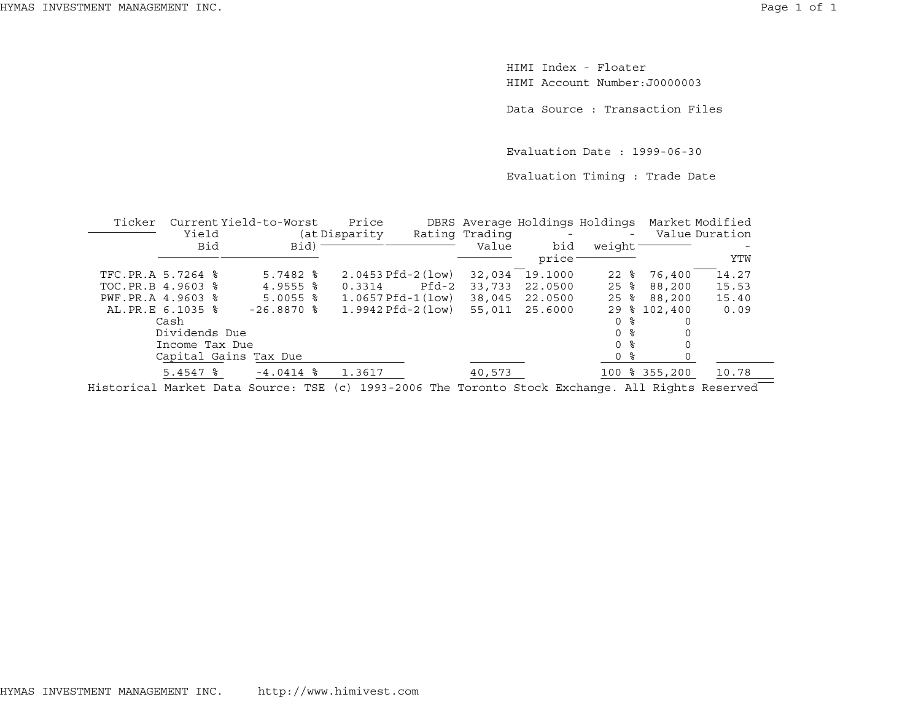HIMI Index - FloaterHIMI Account Number:J0000003

Data Source : Transaction Files

Evaluation Date : 1999-06-30

Evaluation Timing : Trade Date

| Ticker            | Current Yield-to-Worst<br>Yield |                        | Price<br>(at Disparity) |       | Rating Trading | DBRS Average Holdings Holdings<br>$\overline{\phantom{a}}$ | $\overline{\phantom{a}}$ | Market Modified<br>Value Duration |       |
|-------------------|---------------------------------|------------------------|-------------------------|-------|----------------|------------------------------------------------------------|--------------------------|-----------------------------------|-------|
|                   | <b>Bid</b>                      | Bid)                   |                         |       | Value          | bid                                                        | weight <sup>-</sup>      |                                   |       |
|                   |                                 |                        |                         |       |                | price                                                      |                          |                                   | YTW   |
| TFC.PR.A 5.7264 % |                                 | $5.7482$ $\frac{8}{5}$ | $2.0453$ Pfd-2 (low)    |       | 32,034         | 19.1000                                                    | $22$ $\frac{6}{5}$       | 76,400                            | 14.27 |
| TOC.PR.B 4.9603 % |                                 | $4.9555$ $\frac{6}{5}$ | 0.3314                  | Pfd-2 | 33,733         | 22.0500                                                    | $25$ $\frac{6}{5}$       | 88,200                            | 15.53 |
| PWF.PR.A 4.9603 % |                                 | $5.0055$ $\frac{6}{5}$ | $1.0657Pfd-1(low)$      |       | 38,045         | 22.0500                                                    | $25$ $\frac{6}{5}$       | 88,200                            | 15.40 |
|                   | AL.PR.E 6.1035 %                | $-26.8870$ %           | $1.9942$ Pfd-2 (low)    |       | 55,011         | 25.6000                                                    | 29<br>ႜၟ                 | 102,400                           | 0.09  |
|                   | Cash                            |                        |                         |       |                |                                                            | 0 %                      |                                   |       |
|                   | Dividends Due                   |                        |                         |       |                |                                                            | በ ፦                      |                                   |       |
|                   | Income Tax Due                  |                        |                         |       |                |                                                            | 0 %                      |                                   |       |
|                   |                                 | Capital Gains Tax Due  |                         |       |                |                                                            | 0 %                      |                                   |       |
|                   | $5.4547$ $\frac{8}{5}$          | $-4.0414$ %            | 1.3617                  |       | 40,573         |                                                            |                          | 100 % 355,200                     | 10.78 |
|                   |                                 |                        |                         |       |                |                                                            |                          |                                   |       |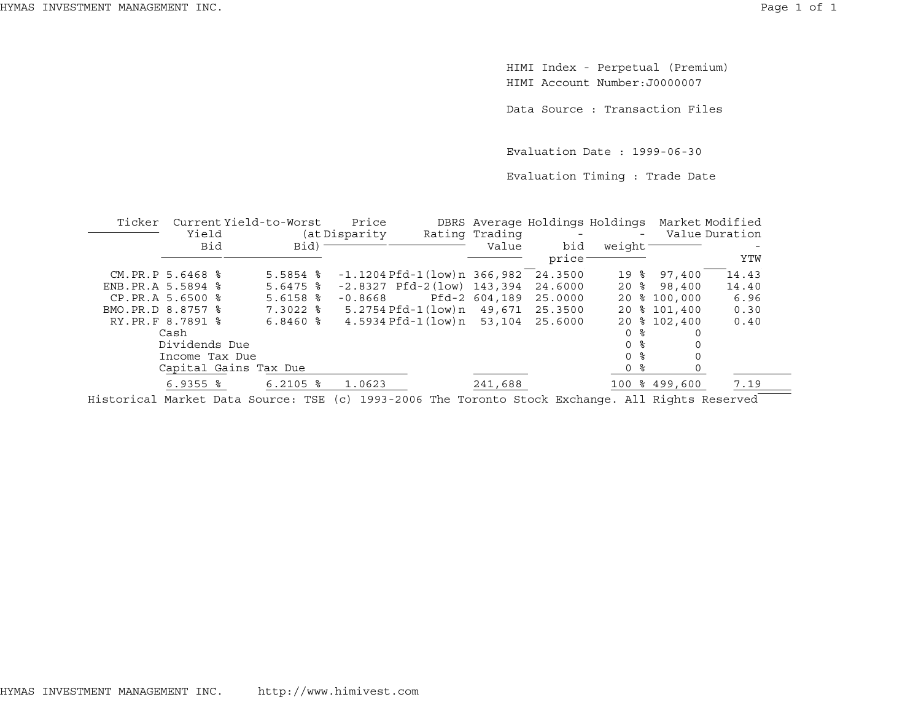HIMI Index - Perpetual (Premium) HIMI Account Number:J0000007

Data Source : Transaction Files

Evaluation Date : 1999-06-30

Evaluation Timing : Trade Date

| Ticker |                   | Current Yield-to-Worst | Price         |                                    |                | DBRS Average Holdings Holdings Market Modified |                     |               |                |
|--------|-------------------|------------------------|---------------|------------------------------------|----------------|------------------------------------------------|---------------------|---------------|----------------|
|        | Yield             |                        | (at Disparity |                                    | Rating Trading |                                                |                     |               | Value Duration |
|        | Bid               | Bid) -                 |               |                                    | Value          | bid                                            | weight <sup>-</sup> |               |                |
|        |                   |                        |               |                                    |                | price                                          |                     |               | YTW            |
|        | CM.PR.P 5.6468 %  | $5.5854$ $%$           |               | $-1.1204$ Pfd $-1$ (low) n 366,982 |                | 24.3500                                        | 19 %                | 97,400        | 14.43          |
|        | ENB.PR.A 5.5894 % | $5.6475$ $\frac{6}{3}$ |               | $-2.8327$ Pfd $-2(low)$ 143,394    |                | 24.6000                                        | $20$ %              | 98,400        | 14.40          |
|        | CP.PR.A 5.6500 %  | $5.6158$ $%$           | $-0.8668$     |                                    | Pfd-2 604,189  | 25.0000                                        |                     | 20 % 100,000  | 6.96           |
|        | BMO.PR.D 8.8757 % | $7.3022$ $\frac{6}{5}$ |               | 5.2754 Pfd-1(low)n 49,671 25.3500  |                |                                                |                     | 20 % 101,400  | 0.30           |
|        | RY.PR.F 8.7891 %  | $6.8460$ %             |               | 4.5934 Pfd-1(low)n                 | 53,104         | 25.6000                                        |                     | 20 % 102,400  | 0.40           |
|        | Cash              |                        |               |                                    |                |                                                | 0 %                 |               |                |
|        | Dividends Due     |                        |               |                                    |                |                                                | 0 %                 |               |                |
|        | Income Tax Due    |                        |               |                                    |                |                                                | 0 <sup>8</sup>      |               |                |
|        |                   | Capital Gains Tax Due  |               |                                    |                |                                                | 0 %                 |               |                |
|        | $6.9355$ $%$      | $6.2105$ %             | 1.0623        |                                    | 241,688        |                                                |                     | 100 % 499,600 | 7.19           |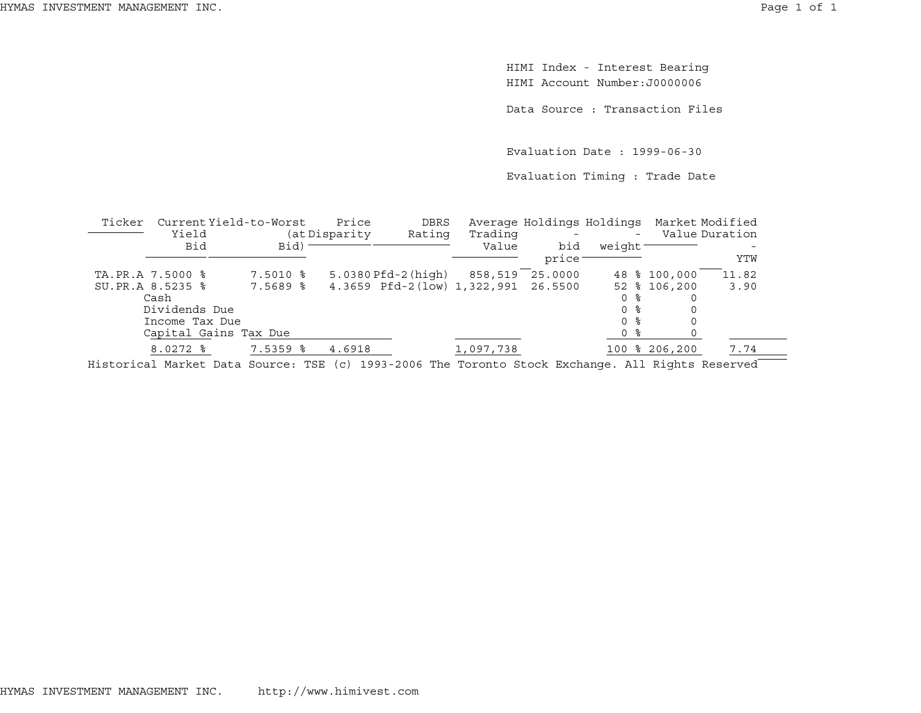HIMI Index - Interest Bearing HIMI Account Number:J0000006

Data Source : Transaction Files

Evaluation Date : 1999-06-30

Evaluation Timing : Trade Date

| Ticker           | Current Yield-to-Worst                                                                                      |                        | Price          | DBRS                                |                  |               |        | Average Holdings Holdings Market Modified | Value Duration |
|------------------|-------------------------------------------------------------------------------------------------------------|------------------------|----------------|-------------------------------------|------------------|---------------|--------|-------------------------------------------|----------------|
|                  | Yield<br>Bid                                                                                                | Bid)                   | (at Disparity) | Rating                              | Trading<br>Value | bid<br>price: | weight | $-$                                       | YTW            |
| TA.PR.A 7.5000 % |                                                                                                             | 7.5010 %               |                | $5.0380$ $Pfd-2$ ( $high$ )         | 858,519          | 25.0000       |        | 48 % 100,000                              | 11.82          |
| SU.PR.A 8.5235 % |                                                                                                             | 7.5689 %               |                | 4.3659 Pfd-2(low) 1,322,991 26.5500 |                  |               |        | 52 % 106,200                              | 3.90           |
| Cash             |                                                                                                             |                        |                |                                     |                  |               | 0 %    |                                           |                |
|                  | Dividends Due                                                                                               |                        |                |                                     |                  |               | 0 ፦    |                                           |                |
|                  | Income Tax Due                                                                                              |                        |                |                                     |                  |               | በ ፦    |                                           |                |
|                  | Capital Gains Tax Due                                                                                       |                        |                |                                     |                  |               | 0 %    |                                           |                |
|                  | $8.0272$ $\approx$                                                                                          | $7.5359$ $\frac{6}{5}$ | 4.6918         |                                     | 1,097,738        |               |        | 100 % 206,200                             | 7.74           |
| -- ' -           | $\mathbf{a}$ , and $\mathbf{a}$ , and $\mathbf{a}$ , and $\mathbf{a}$ , and $\mathbf{a}$ , and $\mathbf{a}$ |                        |                | $\frac{1}{1}$                       |                  |               |        |                                           |                |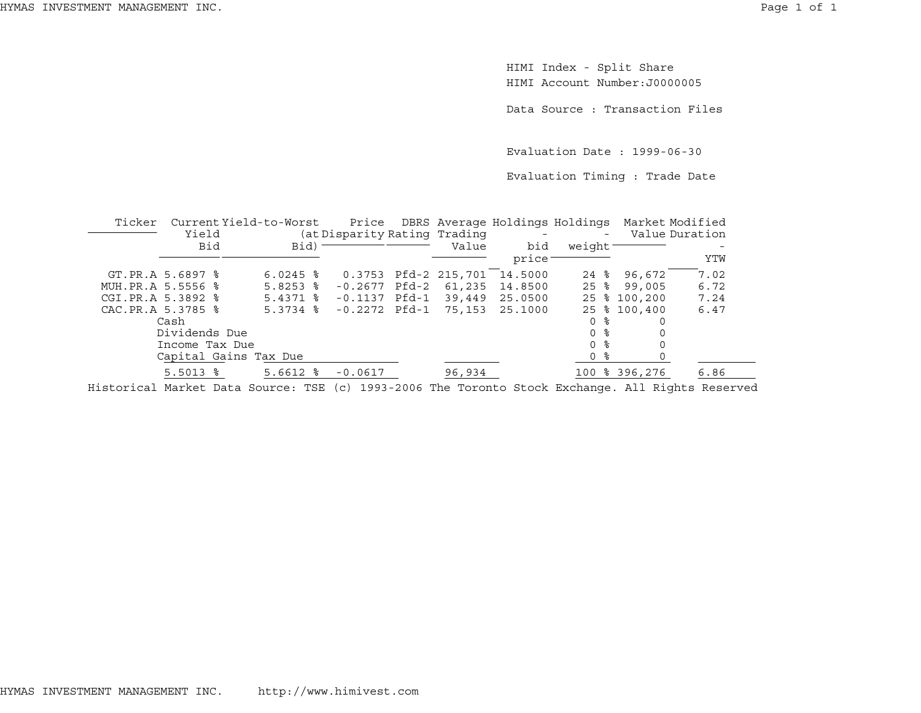HIMI Index - Split Share HIMI Account Number:J0000005

Data Source : Transaction Files

Evaluation Date : 1999-06-30

Evaluation Timing : Trade Date

| Ticker |                        | Current Yield-to-Worst |                              |                      | Price DBRS Average Holdings Holdings |                    |               | Market Modified |
|--------|------------------------|------------------------|------------------------------|----------------------|--------------------------------------|--------------------|---------------|-----------------|
|        | Yield                  |                        | (at Disparity Rating Trading |                      | $\sim$ $-$                           | $\sim$             |               | Value Duration  |
|        | Bid                    | Bid) <sup>-</sup>      |                              | Value                | bid                                  | weight             |               |                 |
|        |                        |                        |                              |                      | price                                |                    |               | YTW             |
|        | GT.PR.A 5.6897 %       | $6.0245$ %             |                              | 0.3753 Pfd-2 215,701 | 14.5000                              | $24$ $\frac{6}{5}$ | 96,672        | 7.02            |
|        | MUH. PR.A 5.5556 %     | $5.8253$ $\frac{6}{5}$ | $-0.2677$ Pfd-2              | 61,235               | 14.8500                              | $25$ %             | 99,005        | 6.72            |
|        | CGI.PR.A 5.3892 %      | $5.4371$ $\frac{8}{5}$ | $-0.1137$ Pfd $-1$           | 39,449               | 25.0500                              |                    | 25 % 100,200  | 7.24            |
|        | CAC.PR.A 5.3785 %      | $5.3734$ $\frac{8}{3}$ | $-0.2272$ Pfd $-1$           | 75,153               | 25.1000                              |                    | 25 % 100,400  | 6.47            |
|        | Cash                   |                        |                              |                      |                                      | 0 %                | 0             |                 |
|        | Dividends Due          |                        |                              |                      |                                      | 0 <sup>8</sup>     |               |                 |
|        | Income Tax Due         |                        |                              |                      |                                      | 0 %                |               |                 |
|        |                        | Capital Gains Tax Due  |                              |                      |                                      | ႜ<br>0             |               |                 |
|        | $5.5013$ $\frac{6}{5}$ | $5.6612$ $%$           | $-0.0617$                    | 96,934               |                                      |                    | 100 % 396,276 | 6.86            |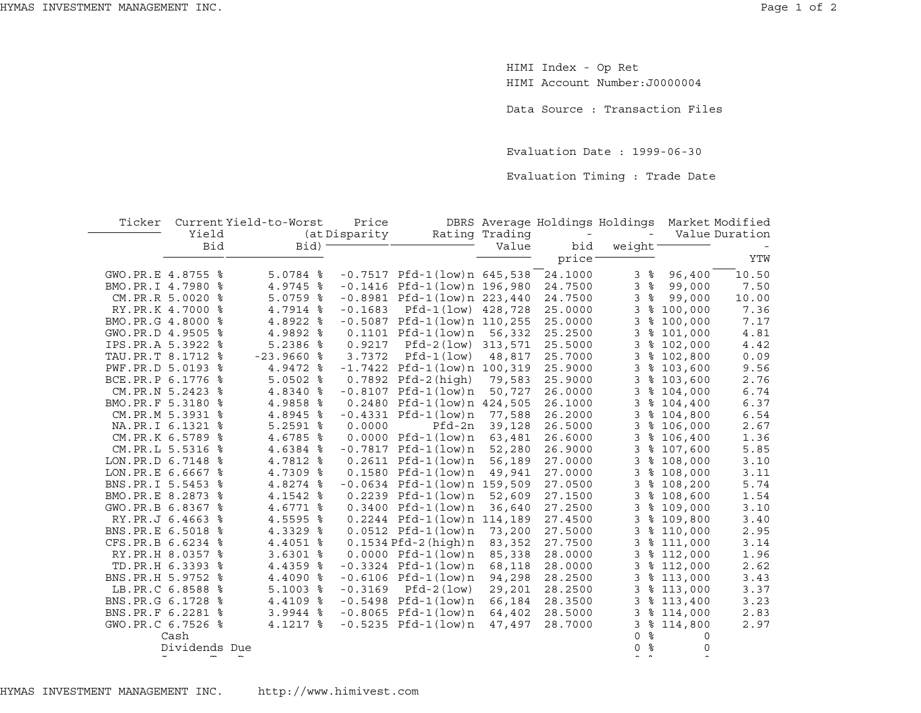HIMI Index - Op Ret HIMI Account Number:J0000004

Data Source : Transaction Files

Evaluation Date : 1999-06-30

Evaluation Timing : Trade Date

| Ticker              | Yield            | Current Yield-to-Worst | Price         |                                   | Rating Trading | DBRS Average Holdings Holdings<br>$\equiv$ | $\equiv$         |           | Market Modified<br>Value Duration |
|---------------------|------------------|------------------------|---------------|-----------------------------------|----------------|--------------------------------------------|------------------|-----------|-----------------------------------|
|                     |                  |                        | (at Disparity |                                   |                |                                            |                  |           |                                   |
|                     | Bid              | Bid) <sup>-</sup>      |               |                                   | Value          | bid                                        | weight-          |           |                                   |
|                     |                  |                        |               |                                   |                | price <sup>-</sup>                         |                  |           | YTW                               |
| GWO.PR.E 4.8755 %   |                  | $5.0784$ %             |               | $-0.7517$ Pfd-1(low)n 645,538     |                | 24.1000                                    | ႜႂ<br>3          | 96,400    | 10.50                             |
| BMO.PR.I 4.7980 %   |                  | 4.9745 %               |               | $-0.1416$ Pfd $-1$ (low)n 196,980 |                | 24.7500                                    | 3<br>ಿ           | 99,000    | 7.50                              |
|                     | CM.PR.R 5.0020 % | $5.0759$ %             |               | $-0.8981$ Pfd $-1$ (low)n 223,440 |                | 24.7500                                    | 3<br>ႜ           | 99,000    | 10.00                             |
|                     | RY.PR.K 4.7000 % | 4.7914 %               | $-0.1683$     | Pfd-1(low) 428,728                |                | 25.0000                                    | 3                | \$100,000 | 7.36                              |
| BMO.PR.G 4.8000 %   |                  | 4.8922 %               |               | $-0.5087$ Pfd $-1$ (low)n 110,255 |                | 25.0000                                    | 3                | \$100,000 | 7.17                              |
| GWO.PR.D 4.9505 %   |                  | 4.9892 %               |               | $0.1101$ Pfd-1(low)n              | 56,332         | 25.2500                                    | 3                | \$101,000 | 4.81                              |
| IPS.PR.A 5.3922 %   |                  | 5.2386 %               | 0.9217        | Pfd-2(low) 313,571                |                | 25.5000                                    | 3                | \$102,000 | 4.42                              |
| TAU.PR.T 8.1712 %   |                  | $-23.9660$ %           | 3.7372        | Pfd-1(low)                        | 48,817         | 25.7000                                    | 3                | \$102,800 | 0.09                              |
| PWF.PR.D 5.0193 %   |                  | 4.9472 %               |               | $-1.7422$ Pfd $-1$ (low)n 100,319 |                | 25.9000                                    | 3                | \$103,600 | 9.56                              |
| BCE.PR.P 6.1776 %   |                  | $5.0502$ %             |               | $0.7892$ Pfd-2(high)              | 79,583         | 25.9000                                    | 3                | \$103,600 | 2.76                              |
|                     | CM.PR.N 5.2423 % | 4.8340 %               |               | $-0.8107$ Pfd $-1$ (low)n         | 50,727         | 26.0000                                    | 3                | \$104,000 | 6.74                              |
| BMO.PR.F 5.3180 %   |                  | 4.9858 %               |               | 0.2480 Pfd-1(low)n 424,505        |                | 26.1000                                    | 3                | \$104,400 | 6.37                              |
|                     | CM.PR.M 5.3931 % | 4.8945 %               |               | $-0.4331$ Pfd $-1$ (low)n         | 77,588         | 26.2000                                    | 3                | \$104,800 | 6.54                              |
|                     | NA.PR.I 6.1321 % | $5.2591$ $8$           | 0.0000        | Pfd-2n                            | 39,128         | 26.5000                                    | 3                | \$106,000 | 2.67                              |
|                     | CM.PR.K 6.5789 % | 4.6785 %               |               | $0.0000$ Pfd- $1$ (low)n          | 63,481         | 26.6000                                    | 3                | \$106,400 | 1.36                              |
|                     | CM.PR.L 5.5316 % | 4.6384 %               |               | $-0.7817$ Pfd $-1$ (low)n         | 52,280         | 26.9000                                    | 3                | \$107,600 | 5.85                              |
| LON.PR.D 6.7148 %   |                  | 4.7812 %               |               | $0.2611$ Pfd-1 $(low)$ n          | 56,189         | 27.0000                                    | 3                | \$108,000 | 3.10                              |
| LON.PR.E 6.6667 %   |                  | 4.7309 %               |               | $0.1580$ Pfd-1(low)n              | 49,941         | 27.0000                                    | 3                | \$108,000 | 3.11                              |
| BNS.PR.I 5.5453 %   |                  | 4.8274 %               |               | $-0.0634$ Pfd $-1$ (low)n 159,509 |                | 27.0500                                    | 3                | \$108,200 | 5.74                              |
| BMO.PR.E 8.2873 %   |                  | 4.1542 %               |               | $0.2239$ Pfd-1 $(low)$ n          | 52,609         | 27.1500                                    | 3                | \$108,600 | 1.54                              |
| GWO.PR.B 6.8367 %   |                  | 4.6771 %               |               | $0.3400$ Pfd-1 $(low)n$           | 36,640         | 27.2500                                    | 3                | \$109,000 | 3.10                              |
|                     | RY.PR.J 6.4663 % | 4.5595 %               |               | 0.2244 Pfd-1(low)n 114,189        |                | 27.4500                                    | 3                | \$109,800 | 3.40                              |
| BNS. PR. E 6.5018 % |                  | 4.3329 %               |               | $0.0512$ Pfd-1 $(low)$ n          | 73,200         | 27.5000                                    | 3                | \$110,000 | 2.95                              |
| CFS.PR.B 6.6234 %   |                  | 4.4051 %               |               | $0.1534$ Pfd-2 (high) $n$         | 83,352         | 27.7500                                    | 3                | \$111,000 | 3.14                              |
|                     | RY.PR.H 8.0357 % | $3.6301$ %             |               | $0.0000$ Pfd-1 $(low)$ n          | 85,338         | 28.0000                                    | 3                | \$112,000 | 1.96                              |
|                     | TD.PR.H 6.3393 % | 4.4359 %               |               | $-0.3324$ Pfd $-1$ (low)n         | 68,118         | 28.0000                                    | 3                | \$112,000 | 2.62                              |
| BNS.PR.H 5.9752 %   |                  | 4.4090 %               |               | $-0.6106$ Pfd $-1$ (low)n         | 94,298         | 28.2500                                    | 3                | \$113,000 | 3.43                              |
|                     | LB.PR.C 6.8588 % | $5.1003$ %             | $-0.3169$     | Pfd-2(low)                        | 29,201         | 28.2500                                    | 3                | \$113,000 | 3.37                              |
| BNS.PR.G 6.1728 %   |                  | 4.4109 %               |               | $-0.5498$ Pfd $-1$ (low) n        | 66,184         | 28.3500                                    | 3                | \$113,400 | 3.23                              |
| BNS.PR.F 6.2281 %   |                  | $3.9944$ %             |               | $-0.8065$ Pfd $-1$ (low)n         | 64,402         | 28.5000                                    | 3                | \$114,000 | 2.83                              |
| GWO.PR.C 6.7526 %   |                  | 4.1217 %               |               | $-0.5235$ Pfd $-1$ (low)n         | 47,497         | 28.7000                                    | 3                | \$114,800 | 2.97                              |
|                     | Cash             |                        |               |                                   |                |                                            | ႜ<br>$\mathbf 0$ | $\Omega$  |                                   |
|                     | Dividends Due    |                        |               |                                   |                |                                            | ႜ<br>$\Omega$    | $\Omega$  |                                   |
|                     |                  |                        |               |                                   |                |                                            |                  |           |                                   |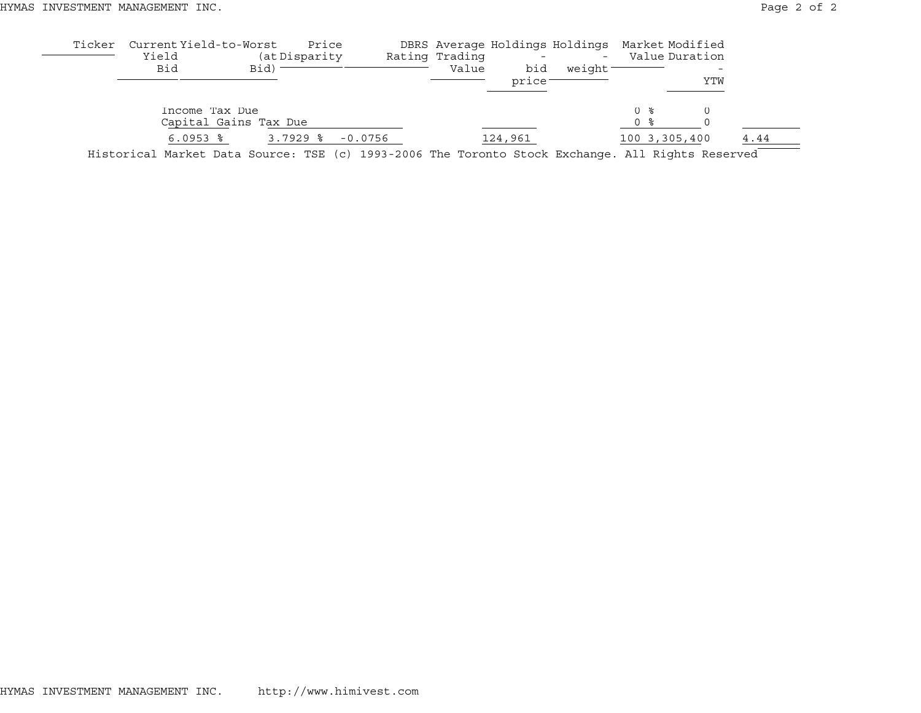| Ticker | Current Yield-to-Worst<br>Yield<br>Bid                                                           | Bid)                  | Price<br>(at Disparity |           | Rating Trading<br>Value | bid<br>price: | DBRS Average Holdings Holdings Market Modified<br>$\overline{\phantom{a}}$<br>weight |            | Value Duration | YTW |      |
|--------|--------------------------------------------------------------------------------------------------|-----------------------|------------------------|-----------|-------------------------|---------------|--------------------------------------------------------------------------------------|------------|----------------|-----|------|
|        | Income Tax Due                                                                                   | Capital Gains Tax Due |                        |           |                         |               |                                                                                      | 0 %<br>0 % |                |     |      |
|        | $6.0953$ $\frac{6}{3}$                                                                           |                       | $3.7929$ 8             | $-0.0756$ |                         | 124,961       |                                                                                      |            | 100 3,305,400  |     | 4.44 |
|        | Historical Market Data Source: TSE (c) 1993-2006 The Toronto Stock Exchange. All Rights Reserved |                       |                        |           |                         |               |                                                                                      |            |                |     |      |